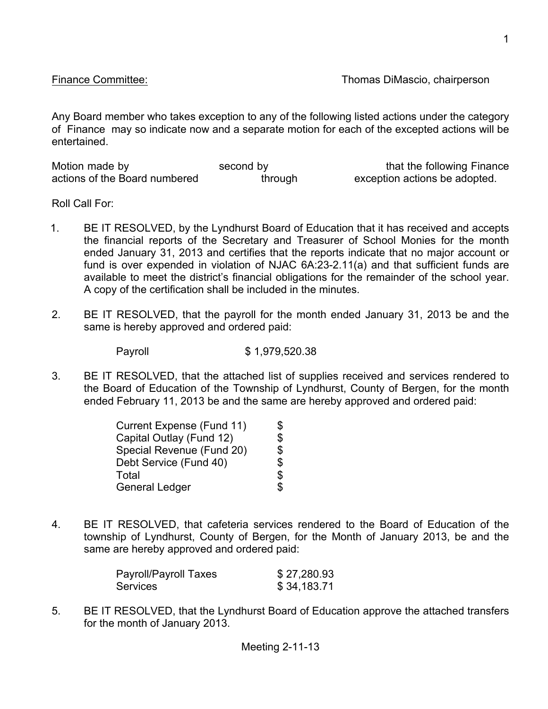Any Board member who takes exception to any of the following listed actions under the category of Finance may so indicate now and a separate motion for each of the excepted actions will be entertained.

| Motion made by                | second by | that the following Finance    |
|-------------------------------|-----------|-------------------------------|
| actions of the Board numbered | through   | exception actions be adopted. |

Roll Call For:

- 1. BE IT RESOLVED, by the Lyndhurst Board of Education that it has received and accepts the financial reports of the Secretary and Treasurer of School Monies for the month ended January 31, 2013 and certifies that the reports indicate that no major account or fund is over expended in violation of NJAC 6A:23-2.11(a) and that sufficient funds are available to meet the district's financial obligations for the remainder of the school year. A copy of the certification shall be included in the minutes.
- 2. BE IT RESOLVED, that the payroll for the month ended January 31, 2013 be and the same is hereby approved and ordered paid:

Payroll \$1,979,520.38

3. BE IT RESOLVED, that the attached list of supplies received and services rendered to the Board of Education of the Township of Lyndhurst, County of Bergen, for the month ended February 11, 2013 be and the same are hereby approved and ordered paid:

| Current Expense (Fund 11) | \$             |
|---------------------------|----------------|
| Capital Outlay (Fund 12)  | \$             |
| Special Revenue (Fund 20) | \$             |
| Debt Service (Fund 40)    | $\mathfrak{L}$ |
| Total                     | $\mathfrak{S}$ |
| <b>General Ledger</b>     | \$             |

4. BE IT RESOLVED, that cafeteria services rendered to the Board of Education of the township of Lyndhurst, County of Bergen, for the Month of January 2013, be and the same are hereby approved and ordered paid:

| Payroll/Payroll Taxes | \$27,280.93 |
|-----------------------|-------------|
| Services              | \$34,183.71 |

5. BE IT RESOLVED, that the Lyndhurst Board of Education approve the attached transfers for the month of January 2013.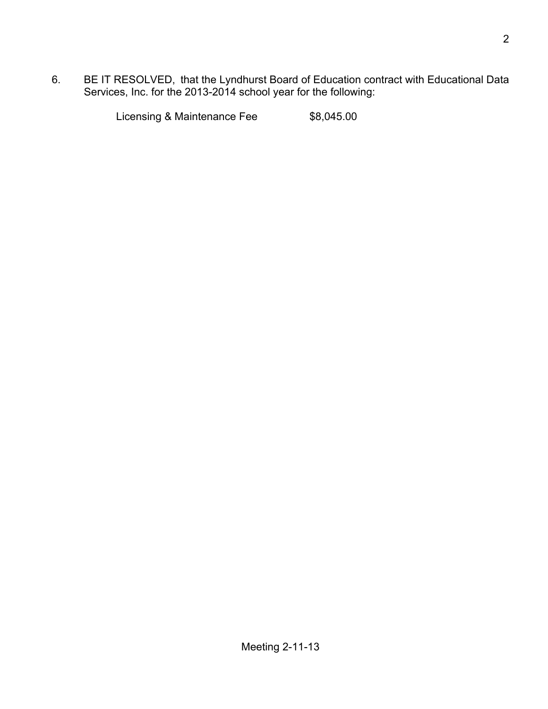6. BE IT RESOLVED, that the Lyndhurst Board of Education contract with Educational Data Services, Inc. for the 2013-2014 school year for the following:

Licensing & Maintenance Fee \$8,045.00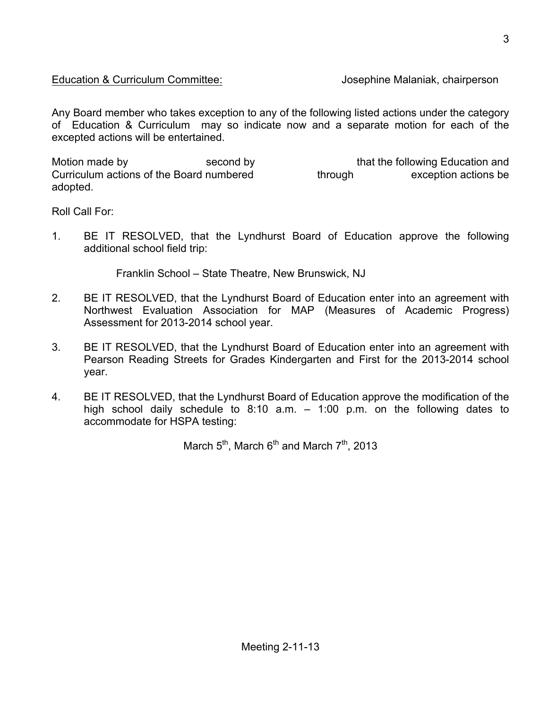## Education & Curriculum Committee: Josephine Malaniak, chairperson

Any Board member who takes exception to any of the following listed actions under the category of Education & Curriculum may so indicate now and a separate motion for each of the excepted actions will be entertained.

Motion made by second by second by that the following Education and Curriculum actions of the Board numbered through exception actions be adopted.

Roll Call For:

1. BE IT RESOLVED, that the Lyndhurst Board of Education approve the following additional school field trip:

Franklin School – State Theatre, New Brunswick, NJ

- 2. BE IT RESOLVED, that the Lyndhurst Board of Education enter into an agreement with Northwest Evaluation Association for MAP (Measures of Academic Progress) Assessment for 2013-2014 school year.
- 3. BE IT RESOLVED, that the Lyndhurst Board of Education enter into an agreement with Pearson Reading Streets for Grades Kindergarten and First for the 2013-2014 school year.
- 4. BE IT RESOLVED, that the Lyndhurst Board of Education approve the modification of the high school daily schedule to 8:10 a.m. – 1:00 p.m. on the following dates to accommodate for HSPA testing:

March  $5^{th}$ , March  $6^{th}$  and March  $7^{th}$ , 2013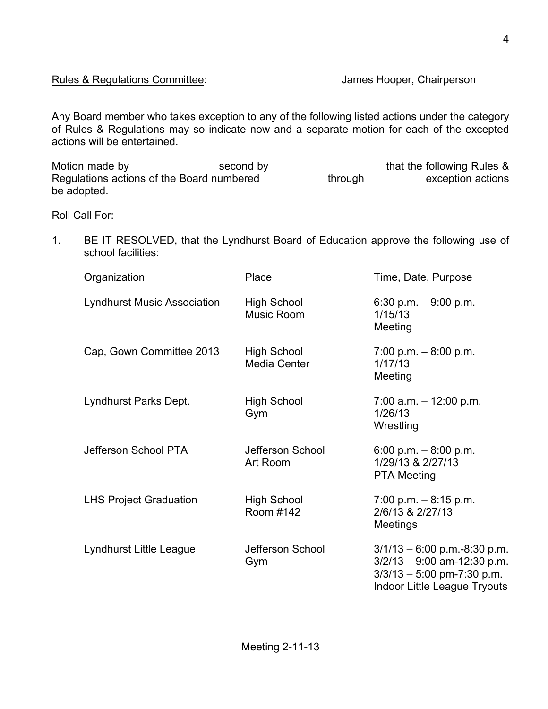Any Board member who takes exception to any of the following listed actions under the category of Rules & Regulations may so indicate now and a separate motion for each of the excepted actions will be entertained.

Motion made by second by second by that the following Rules &<br>Regulations actions of the Board numbered through exception actions Regulations actions of the Board numbered through exception actions be adopted.

Roll Call For:

1. BE IT RESOLVED, that the Lyndhurst Board of Education approve the following use of school facilities:

| Organization                       | Place                                     | Time, Date, Purpose                                                                                                                    |
|------------------------------------|-------------------------------------------|----------------------------------------------------------------------------------------------------------------------------------------|
| <b>Lyndhurst Music Association</b> | <b>High School</b><br>Music Room          | 6:30 p.m. $-9:00$ p.m.<br>1/15/13<br>Meeting                                                                                           |
| Cap, Gown Committee 2013           | <b>High School</b><br><b>Media Center</b> | $7:00$ p.m. $-8:00$ p.m.<br>1/17/13<br>Meeting                                                                                         |
| Lyndhurst Parks Dept.              | High School<br>Gym                        | $7:00$ a.m. $-12:00$ p.m.<br>1/26/13<br>Wrestling                                                                                      |
| Jefferson School PTA               | Jefferson School<br>Art Room              | 6:00 p.m. $-8:00$ p.m.<br>1/29/13 & 2/27/13<br><b>PTA Meeting</b>                                                                      |
| <b>LHS Project Graduation</b>      | High School<br>Room #142                  | $7:00$ p.m. $-8:15$ p.m.<br>2/6/13 & 2/27/13<br><b>Meetings</b>                                                                        |
| Lyndhurst Little League            | Jefferson School<br>Gym                   | $3/1/13 - 6.00$ p.m.-8:30 p.m.<br>$3/2/13 - 9:00$ am-12:30 p.m.<br>$3/3/13 - 5.00$ pm-7:30 p.m.<br><b>Indoor Little League Tryouts</b> |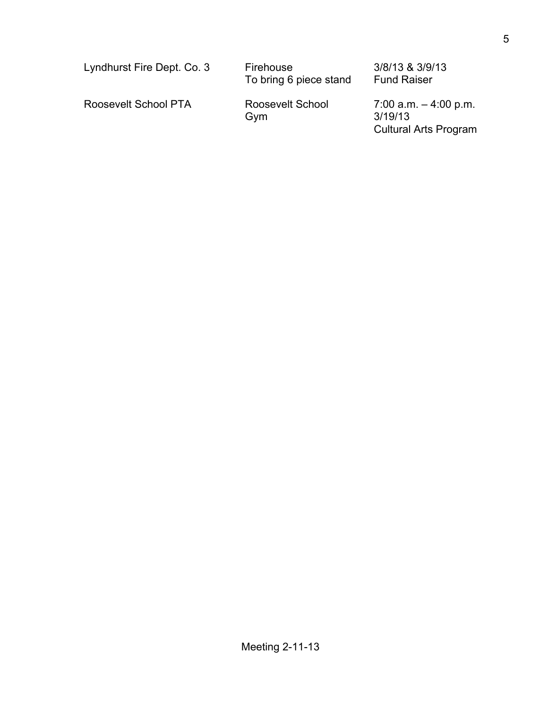| Lyndhurst Fire Dept. Co. 3 | Firehouse<br>To bring 6 piece stand | 3/8/13 & 3/9/13<br><b>Fund Raiser</b>                               |
|----------------------------|-------------------------------------|---------------------------------------------------------------------|
| Roosevelt School PTA       | Roosevelt School<br>Gym             | $7.00$ a.m. $-4.00$ p.m.<br>3/19/13<br><b>Cultural Arts Program</b> |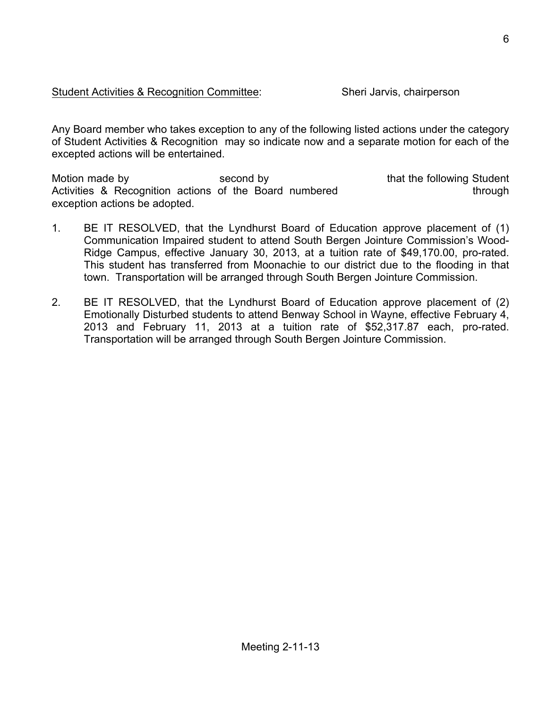Any Board member who takes exception to any of the following listed actions under the category of Student Activities & Recognition may so indicate now and a separate motion for each of the excepted actions will be entertained.

Motion made by **Second by** second by that the following Student Activities & Recognition actions of the Board numbered through exception actions be adopted.

- 1. BE IT RESOLVED, that the Lyndhurst Board of Education approve placement of (1) Communication Impaired student to attend South Bergen Jointure Commission's Wood-Ridge Campus, effective January 30, 2013, at a tuition rate of \$49,170.00, pro-rated. This student has transferred from Moonachie to our district due to the flooding in that town. Transportation will be arranged through South Bergen Jointure Commission.
- 2. BE IT RESOLVED, that the Lyndhurst Board of Education approve placement of (2) Emotionally Disturbed students to attend Benway School in Wayne, effective February 4, 2013 and February 11, 2013 at a tuition rate of \$52,317.87 each, pro-rated. Transportation will be arranged through South Bergen Jointure Commission.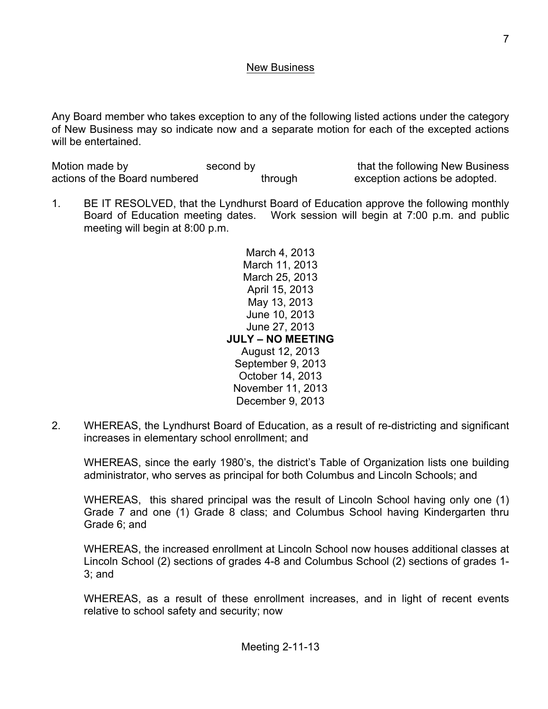## New Business

Any Board member who takes exception to any of the following listed actions under the category of New Business may so indicate now and a separate motion for each of the excepted actions will be entertained.

Motion made by second by second by that the following New Business actions of the Board numbered through exception actions be adopted.

1. BE IT RESOLVED, that the Lyndhurst Board of Education approve the following monthly Board of Education meeting dates. Work session will begin at 7:00 p.m. and public meeting will begin at 8:00 p.m.

> March 4, 2013 March 11, 2013 March 25, 2013 April 15, 2013 May 13, 2013 June 10, 2013 June 27, 2013 **JULY – NO MEETING** August 12, 2013 September 9, 2013 October 14, 2013 November 11, 2013 December 9, 2013

2. WHEREAS, the Lyndhurst Board of Education, as a result of re-districting and significant increases in elementary school enrollment; and

WHEREAS, since the early 1980's, the district's Table of Organization lists one building administrator, who serves as principal for both Columbus and Lincoln Schools; and

WHEREAS, this shared principal was the result of Lincoln School having only one (1) Grade 7 and one (1) Grade 8 class; and Columbus School having Kindergarten thru Grade 6; and

WHEREAS, the increased enrollment at Lincoln School now houses additional classes at Lincoln School (2) sections of grades 4-8 and Columbus School (2) sections of grades 1- 3; and

WHEREAS, as a result of these enrollment increases, and in light of recent events relative to school safety and security; now